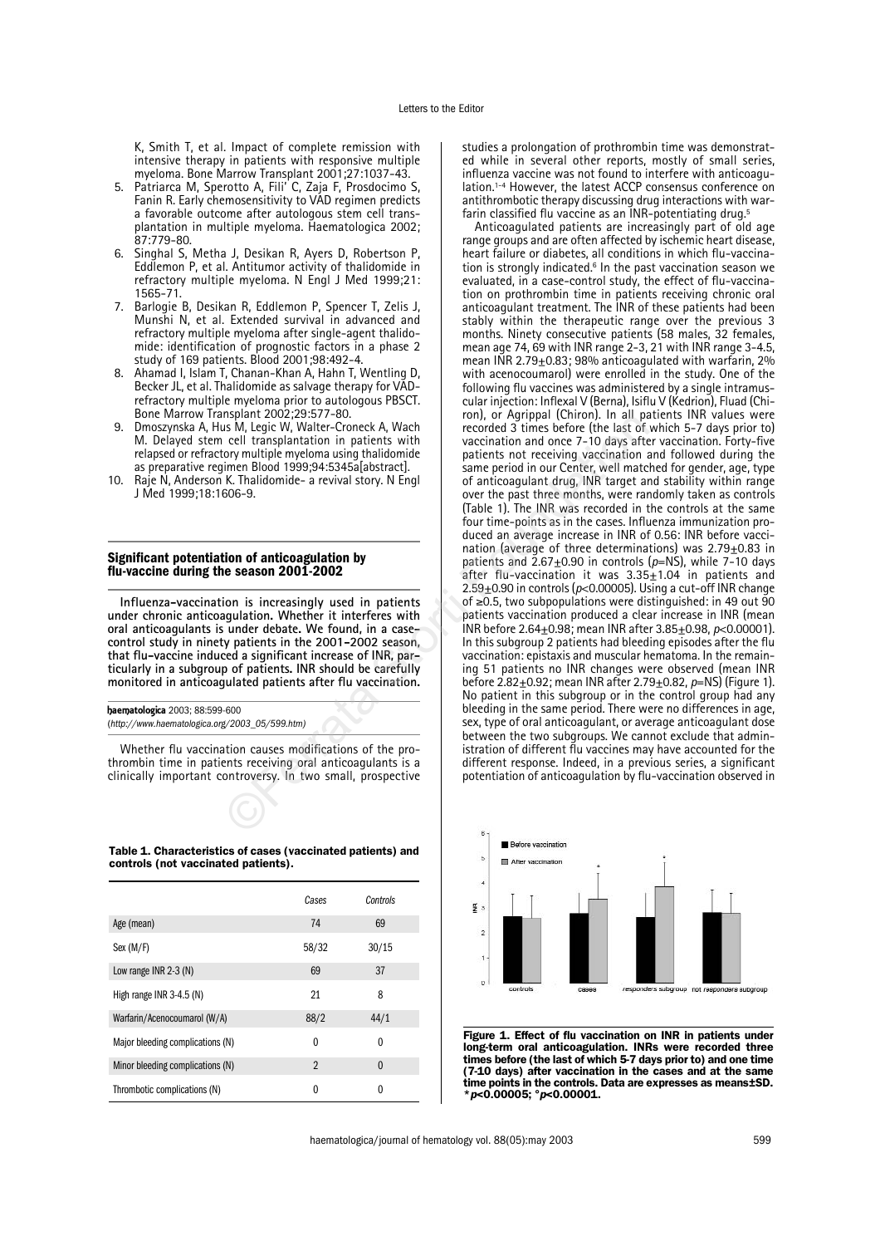K, Smith T, et al. Impact of complete remission with intensive therapy in patients with responsive multiple myeloma. Bone Marrow Transplant 2001;27:1037-43.

- 5. Patriarca M, Sperotto A, Fili' C, Zaja F, Prosdocimo S, Fanin R. Early chemosensitivity to VAD regimen predicts a favorable outcome after autologous stem cell transplantation in multiple myeloma. Haematologica 2002; 87:779-80.
- Singhal S, Metha J, Desikan R, Ayers D, Robertson P, Eddlemon P, et al. Antitumor activity of thalidomide in refractory multiple myeloma. N Engl J Med 1999;21: 1565-71.
- 7. Barlogie B, Desikan R, Eddlemon P, Spencer T, Zelis J, Munshi N, et al. Extended survival in advanced and refractory multiple myeloma after single-agent thalidomide: identification of prognostic factors in a phase 2 study of 169 patients. Blood 2001;98:492-4.
- 8. Ahamad I, Islam T, Chanan-Khan A, Hahn T, Wentling D, Becker JL, et al. Thalidomide as salvage therapy for VADrefractory multiple myeloma prior to autologous PBSCT. Bone Marrow Transplant 2002;29:577-80.
- Dmoszynska A, Hus M, Legic W, Walter-Croneck A, Wach M. Delayed stem cell transplantation in patients with relapsed or refractory multiple myeloma using thalidomide as preparative regimen Blood 1999;94:5345a[abstract].
- 10. Raje N, Anderson K. Thalidomide- a revival story. N Engl J Med 1999;18:1606-9.

## **Significant potentiation of anticoagulation by flu-vaccine during the season 2001-2002**

**Influenza-vaccination is increasingly used in patients under chronic anticoagulation. Whether it interferes with oral anticoagulants is under debate. We found, in a casecontrol study in ninety patients in the 2001-2002 season, that flu-vaccine induced a significant increase of INR, particularly in a subgroup of patients. INR should be carefully monitored in anticoagulated patients after flu vaccination.**

haematologica 2003; 88:599-600 (*http://www.haematologica.org/2003\_05/599.htm)*

Whether flu vaccination causes modifications of the prothrombin time in patients receiving oral anticoagulants is a clinically important controversy. In two small, prospective



Table 1. Characteristics of cases (vaccinated patients) and controls (not vaccinated patients).

|                                  | Cases          | Controls     |
|----------------------------------|----------------|--------------|
| Age (mean)                       | 74             | 69           |
| Sex (M/F)                        | 58/32          | 30/15        |
| Low range INR 2-3 (N)            | 69             | 37           |
| High range INR 3-4.5 (N)         | 21             | 8            |
| Warfarin/Acenocoumarol (W/A)     | 88/2           | 44/1         |
| Major bleeding complications (N) | 0              | $\mathbf{0}$ |
| Minor bleeding complications (N) | $\mathfrak{p}$ | $\theta$     |
| Thrombotic complications (N)     | 0              | 0            |

studies a prolongation of prothrombin time was demonstrated while in several other reports, mostly of small series, influenza vaccine was not found to interfere with anticoagulation.<sup>1-4</sup> However, the latest ACCP consensus conference on antithrombotic therapy discussing drug interactions with warfarin classified flu vaccine as an INR-potentiating drug.<sup>5</sup>

Anticoagulated patients are increasingly part of old age range groups and are often affected by ischemic heart disease, heart failure or diabetes, all conditions in which flu-vaccination is strongly indicated.<sup>6</sup> In the past vaccination season we evaluated, in a case-control study, the effect of flu-vaccination on prothrombin time in patients receiving chronic oral anticoagulant treatment. The INR of these patients had been stably within the therapeutic range over the previous 3 months. Ninety consecutive patients (58 males, 32 females, mean age 74, 69 with INR range 2-3, 21 with INR range 3-4.5, mean INR 2.79 $\pm$ 0.83; 98% anticoagulated with warfarin, 2% with acenocoumarol) were enrolled in the study. One of the following flu vaccines was administered by a single intramuscular injection: Inflexal V (Berna), Isiflu V (Kedrion), Fluad (Chiron), or Agrippal (Chiron). In all patients INR values were recorded 3 times before (the last of which 5-7 days prior to) vaccination and once 7-10 days after vaccination. Forty-five patients not receiving vaccination and followed during the same period in our Center, well matched for gender, age, type of anticoagulant drug, INR target and stability within range over the past three months, were randomly taken as controls (Table 1). The INR was recorded in the controls at the same four time-points as in the cases. Influenza immunization produced an average increase in INR of 0.56: INR before vaccination (average of three determinations) was 2.79+0.83 in patients and  $2.67 \pm 0.90$  in controls ( $p =$ NS), while 7-10 days after flu-vaccination it was  $3.35 \pm 1.04$  in patients and 2.59±0.90 in controls (*p*<0.00005). Using a cut-off INR change of ≥0.5, two subpopulations were distinguished: in 49 out 90 patients vaccination produced a clear increase in INR (mean INR before 2.64±0.98; mean INR after 3.85±0.98, *p*<0.00001). In this subgroup 2 patients had bleeding episodes after the flu vaccination: epistaxis and muscular hematoma. In the remaining 51 patients no INR changes were observed (mean INR before 2.82±0.92; mean INR after 2.79±0.82, *p*=NS) (Figure 1). No patient in this subgroup or in the control group had any bleeding in the same period. There were no differences in age, sex, type of oral anticoagulant, or average anticoagulant dose between the two subgroups. We cannot exclude that administration of different flu vaccines may have accounted for the different response. Indeed, in a previous series, a significant potentiation of anticoagulation by flu-vaccination observed in Standar 2002, 23.3.3.71-30.<br>
IS M, Legic W, Walter-Croneck A, Wach<br>
celd atms has the celement and once 7-10 days after<br>
celement and the state of the last of<br>
cerration in paires with vaccination and once 7-10 days after



Figure 1. Effect of flu vaccination on INR in patients under long-term oral anticoagulation. INRs were recorded three times before (the last of which 5-7 days prior to) and one time (7-10 days) after vaccination in the cases and at the same time points in the controls. Data are expresses as means±SD. \**p*<0.00005; °*p*<0.00001.